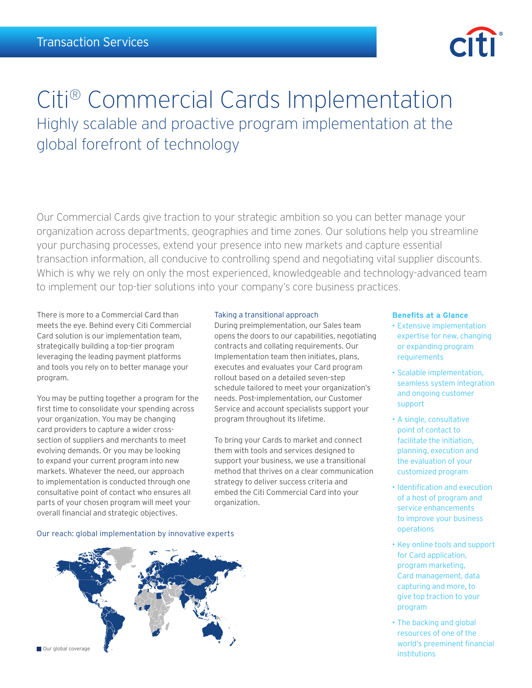

# Citi® Commercial Cards Implementation Highly scalable and proactive program implementation at the global forefront of technology

Our Commercial Cards give traction to your strategic ambition so you can better manage your organization across departments, geographies and time zones. Our solutions help you streamline your purchasing processes, extend your presence into new markets and capture essential transaction information, all conducive to controlling spend and negotiating vital supplier discounts. Which is why we rely on only the most experienced, knowledgeable and technology-advanced team to implement our top-tier solutions into your company's core business practices.

There is more to a Commercial Card than meets the eye. Behind every Citi Commercial Card solution is our implementation team, strategically building a top-tier program leveraging the leading payment platforms and tools you rely on to better manage your program.

You may be putting together a program for the first time to consolidate your spending across your organization. You may be changing card providers to capture a wider crosssection of suppliers and merchants to meet evolving demands. Or you may be looking to expand your current program into new markets. Whatever the need, our approach to implementation is conducted through one consultative point of contact who ensures all parts of your chosen program will meet your overall financial and strategic objectives.

# Taking a transitional approach

During preimplementation, our Sales team opens the doors to our capabilities, negotiating contracts and collating requirements. Our Implementation team then initiates, plans, executes and evaluates your Card program rollout based on a detailed seven-step schedule tailored to meet your organization's needs. Post-implementation, our Customer Service and account specialists support your program throughout its lifetime.

To bring your Cards to market and connect them with tools and services designed to support your business, we use a transitional method that thrives on a clear communication strategy to deliver success criteria and embed the Citi Commercial Card into your organization.

# **Benefits at a Glance**

- • Extensive implementation expertise for new, changing or expanding program requirements
- • Scalable implementation, seamless system integration and ongoing customer support
- • A single, consultative point of contact to facilitate the initiation, planning, execution and the evaluation of your customized program
- • Identification and execution of a host of program and service enhancements to improve your business operations
- • Key online tools and support for Card application, program marketing, Card management, data capturing and more, to give top traction to your program
- The backing and global resources of one of the world's preeminent financial institutions

Our reach: global implementation by innovative experts